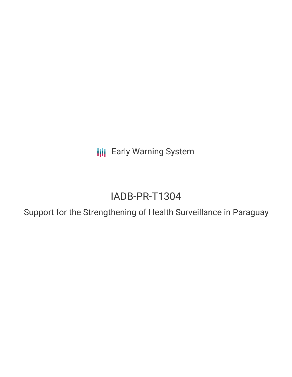**III** Early Warning System

# IADB-PR-T1304

Support for the Strengthening of Health Surveillance in Paraguay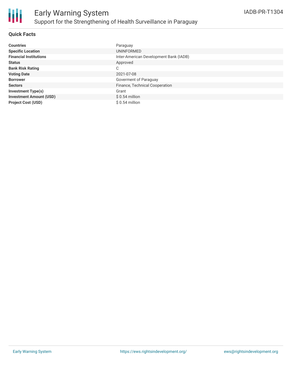

## **Quick Facts**

| <b>Countries</b>               | Paraguay                               |
|--------------------------------|----------------------------------------|
| <b>Specific Location</b>       | UNINFORMED                             |
| <b>Financial Institutions</b>  | Inter-American Development Bank (IADB) |
| <b>Status</b>                  | Approved                               |
| <b>Bank Risk Rating</b>        | C                                      |
| <b>Voting Date</b>             | 2021-07-08                             |
| <b>Borrower</b>                | Goverment of Paraguay                  |
| <b>Sectors</b>                 | Finance, Technical Cooperation         |
| <b>Investment Type(s)</b>      | Grant                                  |
| <b>Investment Amount (USD)</b> | $$0.54$ million                        |
| <b>Project Cost (USD)</b>      | $$0.54$ million                        |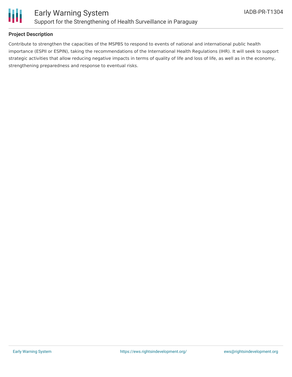

## **Project Description**

Contribute to strengthen the capacities of the MSPBS to respond to events of national and international public health importance (ESPII or ESPIN), taking the recommendations of the International Health Regulations (IHR). It will seek to support strategic activities that allow reducing negative impacts in terms of quality of life and loss of life, as well as in the economy, strengthening preparedness and response to eventual risks.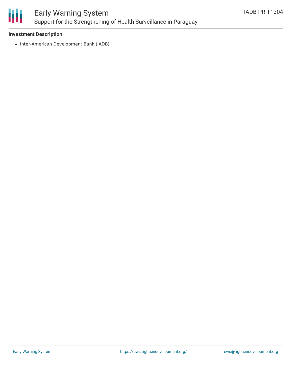

# Early Warning System Support for the Strengthening of Health Surveillance in Paraguay

### **Investment Description**

• Inter-American Development Bank (IADB)